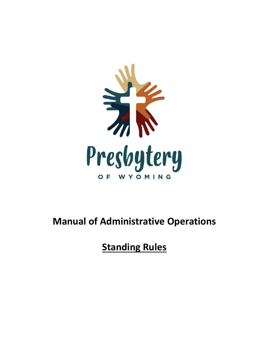

## **Manual of Administrative Operations**

# **Standing Rules**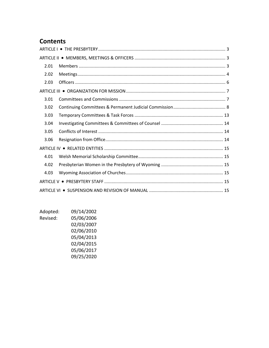## **Contents**

| 2.01 |  |  |
|------|--|--|
| 2.02 |  |  |
| 2.03 |  |  |
|      |  |  |
| 3.01 |  |  |
| 3.02 |  |  |
| 3.03 |  |  |
| 3.04 |  |  |
| 3.05 |  |  |
| 3.06 |  |  |
|      |  |  |
| 4.01 |  |  |
| 4.02 |  |  |
| 4.03 |  |  |
|      |  |  |
|      |  |  |

| Adopted: | 09/14/2002 |
|----------|------------|
| Revised: | 05/06/2006 |
|          | 02/03/2007 |
|          | 02/06/2010 |
|          | 05/04/2013 |
|          | 02/04/2015 |
|          | 05/06/2017 |
|          | 09/25/2020 |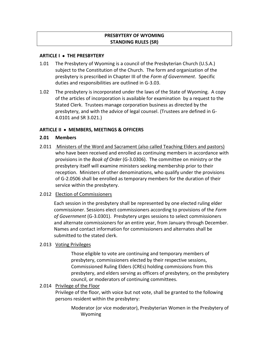## **PRESBYTERY OF WYOMING STANDING RULES (SR)**

### <span id="page-2-0"></span>**ARTICLE I THE PRESBYTERY**

- 1.01 The Presbytery of Wyoming is a council of the Presbyterian Church (U.S.A.) subject to the Constitution of the Church. The form and organization of the presbytery is prescribed in Chapter III of the *Form of Government*. Specific duties and responsibilities are outlined in G-3.03.
- 1.02 The presbytery is incorporated under the laws of the State of Wyoming. A copy of the articles of incorporation is available for examination by a request to the Stated Clerk. Trustees manage corporation business as directed by the presbytery, and with the advice of legal counsel. (Trustees are defined in G-4.0101 and SR 3.021.)

### <span id="page-2-1"></span>**ARTICLE II MEMBERS, MEETINGS & OFFICERS**

### <span id="page-2-2"></span>**2.01 Members**

2.011 Ministers of the Word and Sacrament (also called Teaching Elders and pastors) who have been received and enrolled as continuing members in accordance with provisions in the *Book of Order* (G-3.0306). The committee on ministry or the presbytery itself will examine ministers seeking membership prior to their reception. Ministers of other denominations, who qualify under the provisions of G-2.0506 shall be enrolled as temporary members for the duration of their service within the presbytery.

### 2.012 Election of Commissioners

Each session in the presbytery shall be represented by one elected ruling elder commissioner. Sessions elect commissioners according to provisions of the *Form of Government* (G-3.0301). Presbytery urges sessions to select commissioners and alternate commissioners for an entire year, from January through December. Names and contact information for commissioners and alternates shall be submitted to the stated clerk.

### 2.013 Voting Privileges

Those eligible to vote are continuing and temporary members of presbytery, commissioners elected by their respective sessions, Commissioned Ruling Elders (CREs) holding commissions from this presbytery, and elders serving as officers of presbytery, on the presbytery council, or moderators of continuing committees.

### 2.014 Privilege of the Floor

Privilege of the floor, with voice but not vote, shall be granted to the following persons resident within the presbytery:

Moderator (or vice moderator), Presbyterian Women in the Presbytery of Wyoming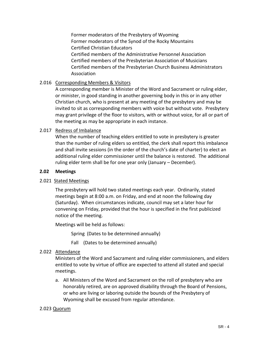Former moderators of the Presbytery of Wyoming Former moderators of the Synod of the Rocky Mountains Certified Christian Educators Certified members of the Administrative Personnel Association Certified members of the Presbyterian Association of Musicians Certified members of the Presbyterian Church Business Administrators Association

## 2.016 Corresponding Members & Visitors

A corresponding member is Minister of the Word and Sacrament or ruling elder, or minister, in good standing in another governing body in this or in any other Christian church, who is present at any meeting of the presbytery and may be invited to sit as corresponding members with voice but without vote. Presbytery may grant privilege of the floor to visitors, with or without voice, for all or part of the meeting as may be appropriate in each instance.

## 2.017 Redress of Imbalance

When the number of teaching elders entitled to vote in presbytery is greater than the number of ruling elders so entitled, the clerk shall report this imbalance and shall invite sessions (in the order of the church's date of charter) to elect an additional ruling elder commissioner until the balance is restored. The additional ruling elder term shall be for one year only (January – December).

### <span id="page-3-0"></span>**2.02 Meetings**

### 2.021 Stated Meetings

The presbytery will hold two stated meetings each year. Ordinarily, stated meetings begin at 8:00 a.m. on Friday, and end at noon the following day (Saturday). When circumstances indicate, council may set a later hour for convening on Friday, provided that the hour is specified in the first publicized notice of the meeting.

Meetings will be held as follows:

Spring (Dates to be determined annually)

Fall (Dates to be determined annually)

### 2.022 Attendance

Ministers of the Word and Sacrament and ruling elder commissioners, and elders entitled to vote by virtue of office are expected to attend all stated and special meetings.

a. All Ministers of the Word and Sacrament on the roll of presbytery who are honorably retired, are on approved disability through the Board of Pensions, or who are living or laboring outside the bounds of the Presbytery of Wyoming shall be excused from regular attendance.

### 2.023 Quorum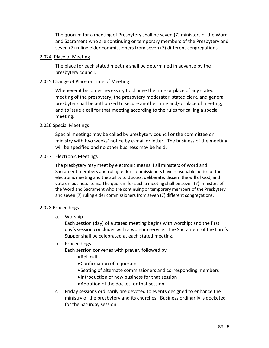The quorum for a meeting of Presbytery shall be seven (7) ministers of the Word and Sacrament who are continuing or temporary members of the Presbytery and seven (7) ruling elder commissioners from seven (7) different congregations.

#### 2.024 Place of Meeting

The place for each stated meeting shall be determined in advance by the presbytery council.

## 2.025 Change of Place or Time of Meeting

Whenever it becomes necessary to change the time or place of any stated meeting of the presbytery, the presbytery moderator, stated clerk, and general presbyter shall be authorized to secure another time and/or place of meeting, and to issue a call for that meeting according to the rules for calling a special meeting.

## 2.026 Special Meetings

Special meetings may be called by presbytery council or the committee on ministry with two weeks' notice by e-mail or letter. The business of the meeting will be specified and no other business may be held.

### 2.027 Electronic Meetings

The presbytery may meet by electronic means if all ministers of Word and Sacrament members and ruling elder commissioners have reasonable notice of the electronic meeting and the ability to discuss, deliberate, discern the will of God, and vote on business items. The quorum for such a meeting shall be seven (7) ministers of the Word and Sacrament who are continuing or temporary members of the Presbytery and seven (7) ruling elder commissioners from seven (7) different congregations.

### 2.028 Proceedings

a. Worship

Each session (day) of a stated meeting begins with worship; and the first day's session concludes with a worship service. The Sacrament of the Lord's Supper shall be celebrated at each stated meeting.

### b. Proceedings

Each session convenes with prayer, followed by

- Roll call
- Confirmation of a quorum
- Seating of alternate commissioners and corresponding members
- Introduction of new business for that session
- Adoption of the docket for that session.
- c. Friday sessions ordinarily are devoted to events designed to enhance the ministry of the presbytery and its churches. Business ordinarily is docketed for the Saturday session.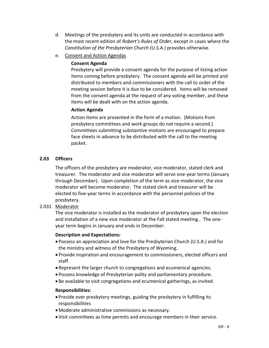- d. Meetings of the presbytery and its units are conducted in accordance with the most recent edition of *Robert's Rules of Order*, except in cases where the *Constitution of the Presbyterian Church (U.S.A.)* provides otherwise.
- e. Consent and Action Agendas

## **Consent Agenda**

Presbytery will provide a consent agenda for the purpose of listing action items coming before presbytery. The consent agenda will be printed and distributed to members and commissioners with the call to order of the meeting session before it is due to be considered. Items will be removed from the consent agenda at the request of any voting member, and these items will be dealt with on the action agenda.

## **Action Agenda**

Action items are presented in the form of a motion. (Motions from presbytery committees and work groups do not require a second.) Committees submitting substantive motions are encouraged to prepare face sheets in advance to be distributed with the call to the meeting packet.

## <span id="page-5-0"></span>**2.03 Officers**

The officers of the presbytery are moderator, vice moderator, stated clerk and treasurer. The moderator and vice moderator will serve one-year terms (January through December). Upon completion of the term as vice moderator, the vice moderator will become moderator. The stated clerk and treasurer will be elected to five-year terms in accordance with the personnel policies of the presbytery.

2.031 Moderator

The vice moderator is installed as the moderator of presbytery upon the election and installation of a new vice moderator at the Fall stated meeting.. The oneyear term begins in January and ends in December.

## **Description and Expectations:**

- Possess an appreciation and love for the Presbyterian Church (U.S.A.) and for the ministry and witness of the Presbytery of Wyoming.
- Provide inspiration and encouragement to commissioners, elected officers and staff.
- Represent the larger church to congregations and ecumenical agencies.
- Possess knowledge of Presbyterian polity and parliamentary procedure.
- Be available to visit congregations and ecumenical gatherings, as invited.

### **Responsibilities:**

- Preside over presbytery meetings, guiding the presbytery in fulfilling its responsibilities
- Moderate administrative commissions as necessary.
- Visit committees as time permits and encourage members in their service.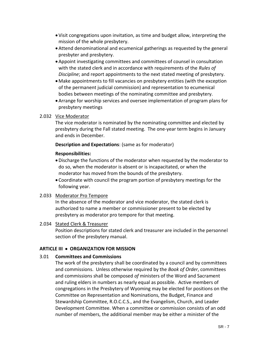- Visit congregations upon invitation, as time and budget allow, interpreting the mission of the whole presbytery.
- Attend denominational and ecumenical gatherings as requested by the general presbyter and presbytery.
- Appoint investigating committees and committees of counsel in consultation with the stated clerk and in accordance with requirements of the *Rules of Discipline*; and report appointments to the next stated meeting of presbytery.
- Make appointments to fill vacancies on presbytery entities (with the exception of the permanent judicial commission) and representation to ecumenical bodies between meetings of the nominating committee and presbytery.
- Arrange for worship services and oversee implementation of program plans for presbytery meetings

## 2.032 Vice Moderator

The vice moderator is nominated by the nominating committee and elected by presbytery during the Fall stated meeting. The one-year term begins in January and ends in December.

## **Description and Expectations**: (same as for moderator)

## **Responsibilities:**

- Discharge the functions of the moderator when requested by the moderator to do so, when the moderator is absent or is incapacitated, or when the moderator has moved from the bounds of the presbytery.
- Coordinate with council the program portion of presbytery meetings for the following year.

## 2.033 Moderator Pro Tempore

In the absence of the moderator and vice moderator, the stated clerk is authorized to name a member or commissioner present to be elected by presbytery as moderator pro tempore for that meeting.

## 2.034 Stated Clerk & Treasurer

Position descriptions for stated clerk and treasurer are included in the personnel section of the presbytery manual.

## <span id="page-6-0"></span>**ARTICLE III ORGANIZATION FOR MISSION**

### <span id="page-6-1"></span>3.01 **Committees and Commissions**

The work of the presbytery shall be coordinated by a council and by committees and commissions. Unless otherwise required by the *Book of Order*, committees and commissions shall be composed *of* ministers of the Word and Sacrament and ruling elders in numbers as nearly equal as possible. Active members of congregations in the Presbytery of Wyoming may be elected for positions on the Committee on Representation and Nominations, the Budget, Finance and Stewardship Committee, R.O.C.C.S., and the Evangelism, Church, and Leader Development Committee. When a committee or commission consists of an odd number of members, the additional member may be either a minister of the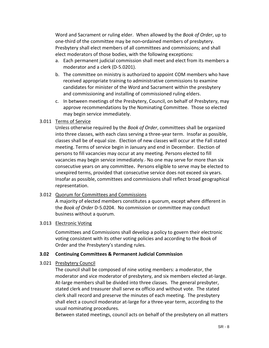Word and Sacrament or ruling elder. When allowed by the *Book of Order*, up to one-third of the committee may be non**-**ordained members of presbytery. Presbytery shall elect members of all committees and commissions; and shall elect moderators of those bodies, with the following exceptions:

- a. Each permanent judicial commission shall meet and elect from its members a moderator and a clerk (D-5.0201).
- b. The committee on ministry is authorized to appoint COM members who have received appropriate training to administrative commissions to examine candidates for minister of the Word and Sacrament within the presbytery and commissioning and installing of commissioned ruling elders.
- c. In between meetings of the Presbytery, Council, on behalf of Presbytery, may approve recommendations by the Nominating Committee. Those so elected may begin service immediately.

## 3.011 Terms of Service

Unless otherwise required by the *Book of Order*, committees shall be organized into three classes, with each class serving a three-year term. Insofar as possible, classes shall be of equal size. Election of new classes will occur at the Fall stated meeting. Terms of service begin in January and end in December. Election of persons to fill vacancies may occur at any meeting. Persons elected to fill vacancies may begin service immediately. No one may serve for more than six consecutive years on any committee**.** Persons eligible to serve may be elected to unexpired terms, provided that consecutive service does not exceed six years. Insofar as possible, committees and commissions shall reflect broad geographical representation.

### 3.012 Quorum for Committees and Commissions

A majority of elected members constitutes a quorum, except where different in the *Book of Order* D-5.0204. No commission or committee may conduct business without a quorum.

### 3.013 Electronic Voting

Committees and Commissions shall develop a policy to govern their electronic voting consistent with its other voting policies and according to the Book of Order and the Presbytery's standing rules.

## <span id="page-7-0"></span>**3.02 Continuing Committees & Permanent Judicial Commission**

## 3.021 Presbytery Council

The council shall be composed of nine voting members: a moderator, the moderator and vice moderator of presbytery, and six members elected at-large. At-large members shall be divided into three classes. The general presbyter, stated clerk and treasurer shall serve ex officio and without vote. The stated clerk shall record and preserve the minutes of each meeting. The presbytery shall elect a council moderator at-large for a three-year term, according to the usual nominating procedures.

Between stated meetings, council acts on behalf of the presbytery on all matters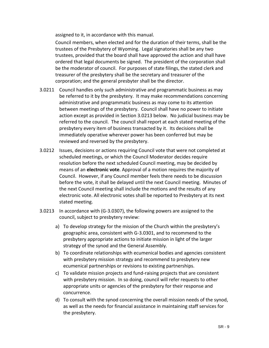assigned to it, in accordance with this manual.

Council members, when elected and for the duration of their terms, shall be the trustees of the Presbytery of Wyoming. Legal signatories shall be any two trustees, provided that the board shall have approved the action and shall have ordered that legal documents be signed. The president of the corporation shall be the moderator of council. For purposes of state filings, the stated clerk and treasurer of the presbytery shall be the secretary and treasurer of the corporation; and the general presbyter shall be the director.

- 3.0211 Council handles only such administrative and programmatic business as may be referred to it by the presbytery. It may make recommendations concerning administrative and programmatic business as may come to its attention between meetings of the presbytery. Council shall have no power to initiate action except as provided in Section 3.0213 below. No judicial business may be referred to the council. The council shall report at each stated meeting of the presbytery every item of business transacted by it. Its decisions shall be immediately operative wherever power has been conferred but may be reviewed and reversed by the presbytery.
- 3.0212 Issues, decisions or actions requiring Council vote that were not completed at scheduled meetings, or which the Council Moderator decides require resolution before the next scheduled Council meeting, may be decided by means of an **electronic vote**. Approval of a motion requires the majority of Council. However, if any Council member feels there needs to be discussion before the vote, it shall be delayed until the next Council meeting. Minutes of the next Council meeting shall include the motions and the results of any electronic vote. All electronic votes shall be reported to Presbytery at its next stated meeting.
- 3.0213 In accordance with (G-3.0307), the following powers are assigned to the council, subject to presbytery review:
	- a) To develop strategy for the mission of the Church within the presbytery's geographic area, consistent with G-3.0301, and to recommend to the presbytery appropriate actions to initiate mission in light of the larger strategy of the synod and the General Assembly.
	- b) To coordinate relationships with ecumenical bodies and agencies consistent with presbytery mission strategy and recommend to presbytery new ecumenical partnerships or revisions to existing partnerships.
	- c) To validate mission projects and fund-raising projects that are consistent with presbytery mission. In so doing, council will refer requests to other appropriate units or agencies of the presbytery for their response and concurrence.
	- d) To consult with the synod concerning the overall mission needs of the synod, as well as the needs for financial assistance in maintaining staff services for the presbytery.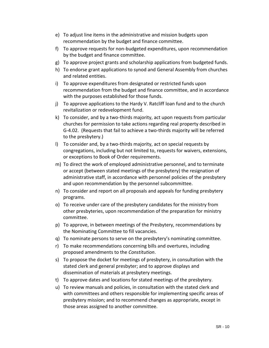- e) To adjust line items in the administrative and mission budgets upon recommendation by the budget and finance committee.
- f) To approve requests for non-budgeted expenditures, upon recommendation by the budget and finance committee.
- g) To approve project grants and scholarship applications from budgeted funds.
- h) To endorse grant applications to synod and General Assembly from churches and related entities.
- i) To approve expenditures from designated or restricted funds upon recommendation from the budget and finance committee, and in accordance with the purposes established for those funds.
- j) To approve applications to the Hardy V. Ratcliff loan fund and to the church revitalization or redevelopment fund.
- k) To consider, and by a two-thirds majority, act upon requests from particular churches for permission to take actions regarding real property described in G-4.02. (Requests that fail to achieve a two-thirds majority will be referred to the presbytery.)
- l) To consider and, by a two-thirds majority, act on special requests by congregations, including but not limited to, requests for waivers, extensions, or exceptions to Book of Order requirements.
- m) To direct the work of employed administrative personnel, and to terminate or accept (between stated meetings of the presbytery) the resignation of administrative staff, in accordance with personnel policies of the presbytery and upon recommendation by the personnel subcommittee.
- n) To consider and report on all proposals and appeals for funding presbytery programs.
- o) To receive under care of the presbytery candidates for the ministry from other presbyteries, upon recommendation of the preparation for ministry committee.
- p) To approve, in between meetings of the Presbytery, recommendations by the Nominating Committee to fill vacancies.
- q) To nominate persons to serve on the presbytery's nominating committee.
- r) To make recommendations concerning bills and overtures, including proposed amendments to the *Constitution*.
- s) To propose the docket for meetings of presbytery, in consultation with the stated clerk and general presbyter; and to approve displays and dissemination of materials at presbytery meetings.
- t) To approve dates and locations for stated meetings of the presbytery.
- u) To review manuals and policies, in consultation with the stated clerk and with committees and others responsible for implementing specific areas of presbytery mission; and to recommend changes as appropriate, except in those areas assigned to another committee.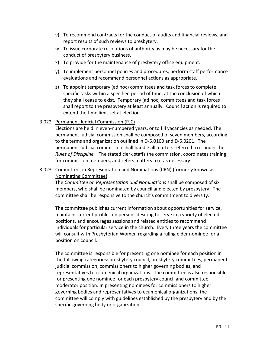- v) To recommend contracts for the conduct of audits and financial reviews, and report results of such reviews to presbytery.
- w) To issue corporate resolutions of authority as may be necessary for the conduct of presbytery business.
- x) To provide for the maintenance of presbytery office equipment.
- y) To implement personnel policies and procedures, perform staff performance evaluations and recommend personnel actions as appropriate.
- z) To appoint temporary (ad hoc) committees and task forces to complete specific tasks within a specified period of time, at the conclusion of which they shall cease to exist. Temporary (ad hoc) committees and task forces shall report to the presbytery at least annually. Council action is required to extend the time limit set at election.

## 3.022 Permanent Judicial Commission (PJC)

Elections are held in even-numbered years, or to fill vacancies as needed. The permanent judicial commission shall be composed of seven members, according to the terms and organization outlined in D-5.0100 and D-5.0201. The permanent judicial commission shall handle all matters referred to it under the *Rules of Discipline.* The stated clerk staffs the commission, coordinates training for commission members, and refers matters to it as necessary

3.023 Committee on Representation and Nominations (CRN) (formerly known as Nominating Committee)

The *Committee on Representation and Nominations* shall be composed of six members, who shall be nominated by council and elected by presbytery. The committee shall be responsive to the church's commitment to diversity.

The committee publishes current information about opportunities for service, maintains current profiles on persons desiring to serve in a variety of elected positions, and encourages sessions and related entities to recommend individuals for particular service in the church. Every three years the committee will consult with Presbyterian Women regarding a ruling elder nominee for a position on council.

The committee is responsible for presenting one nominee for each position in the following categories: presbytery council, presbytery committees, permanent judicial commission, commissioners to higher governing bodies, and representatives to ecumenical organizations. The committee is also responsible for presenting one nominee for each presbytery council and committee moderator position. In presenting nominees for commissioners to higher governing bodies and representatives to ecumenical organizations, the committee will comply with guidelines established by the presbytery and by the specific governing body or organization.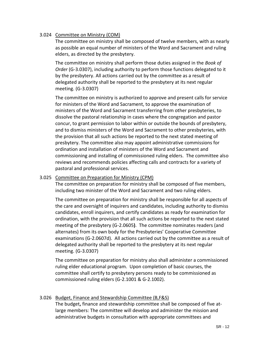## 3.024 Committee on Ministry (COM)

The committee on ministry shall be composed of twelve members, with as nearly as possible an equal number of ministers of the Word and Sacrament and ruling elders, as directed by the presbytery.

The committee on ministry shall perform those duties assigned in the *Book of Order* (G-3.0307), including authority to perform those functions delegated to it by the presbytery. All actions carried out by the committee as a result of delegated authority shall be reported to the presbytery at its next regular meeting. (G-3.0307)

The committee on ministry is authorized to approve and present calls for service for ministers of the Word and Sacrament, to approve the examination of ministers of the Word and Sacrament transferring from other presbyteries, to dissolve the pastoral relationship in cases where the congregation and pastor concur, to grant permission to labor within or outside the bounds of presbytery, and to dismiss ministers of the Word and Sacrament to other presbyteries, with the provision that all such actions be reported to the next stated meeting of presbytery. The committee also may appoint administrative commissions for ordination and installation of ministers of the Word and Sacrament and commissioning and installing of commissioned ruling elders. The committee also reviews and recommends policies affecting calls and contracts for a variety of pastoral and professional services.

### 3.025 Committee on Preparation for Ministry (CPM)

The committee on preparation for ministry shall be composed of five members, including two minister of the Word and Sacrament and two ruling elders.

The committee on preparation for ministry shall be responsible for all aspects of the care and oversight of inquirers and candidates, including authority to dismiss candidates, enroll inquirers, and certify candidates as ready for examination for ordination, with the provision that all such actions be reported to the next stated meeting of the presbytery (G-2.0605**)**. The committee nominates readers (and alternates) from its own body for the Presbyteries' Cooperative Committee examinations (G-2.0607d). All actions carried out by the committee as a result of delegated authority shall be reported to the presbytery at its next regular meeting. (G-3.0307)

The committee on preparation for ministry also shall administer a commissioned ruling elder educational program. Upon completion of basic courses, the committee shall certify to presbytery persons ready to be commissioned as commissioned ruling elders (G-2.1001 & G-2.1002).

## 3.026 Budget, Finance and Stewardship Committee (B,F&S)

The budget**,** finance and stewardship committee shall be composed of five atlarge members: The committee will develop and administer the mission and administrative budgets in consultation with appropriate committees and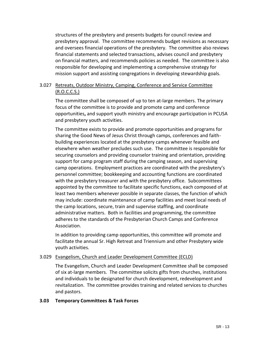structures of the presbytery and presents budgets for council review and presbytery approval. The committee recommends budget revisions as necessary and oversees financial operations of the presbytery. The committee also reviews financial statements and selected transactions, advises council and presbytery on financial matters, and recommends policies as needed. The committee is also responsible for developing and implementing a comprehensive strategy for mission support and assisting congregations in developing stewardship goals.

## 3.027 Retreats, Outdoor Ministry, Camping, Conference and Service Committee (R.O.C.C.S.)

The committee shall be composed of up to ten at-large members. The primary focus of the committee is to provide and promote camp and conference opportunities**,** and support youth ministry and encourage participation in PCUSA and presbytery youth activities.

The committee exists to provide and promote opportunities and programs for sharing the Good News of Jesus Christ through camps, conferences and faithbuilding experiences located at the presbytery camps whenever feasible and elsewhere when weather precludes such use. The committee is responsible for securing counselors and providing counselor training and orientation, providing support for camp program staff during the camping season, and supervising camp operations. Employment practices are coordinated with the presbytery's personnel committee; bookkeeping and accounting functions are coordinated with the presbytery treasurer and with the presbytery office. Subcommittees appointed by the committee to facilitate specific functions, each composed of at least two members whenever possible in separate classes, the function of which may include: coordinate maintenance of camp facilities and meet local needs of the camp locations, secure, train and supervise staffing, and coordinate administrative matters. Both in facilities and programming, the committee adheres to the standards of the Presbyterian Church Camps and Conference Association.

In addition to providing camp opportunities, this committee will promote and facilitate the annual Sr. High Retreat and Triennium and other Presbytery wide youth activities.

### 3.029 Evangelism, Church and Leader Development Committee (ECLD)

The Evangelism, Church and Leader Development Committee shall be composed of six at-large members. The committee solicits gifts from churches, institutions and individuals to be designated for church development, redevelopment and revitalization. The committee provides training and related services to churches and pastors.

### <span id="page-12-0"></span>**3.03 Temporary Committees & Task Forces**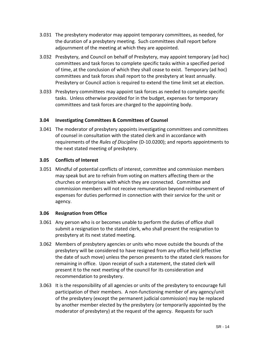- 3.031 The presbytery moderator may appoint temporary committees, as needed, for the duration of a presbytery meeting. Such committees shall report before adjournment of the meeting at which they are appointed.
- 3.032 Presbytery, and Council on behalf of Presbytery, may appoint temporary (ad hoc) committees and task forces to complete specific tasks within a specified period of time, at the conclusion of which they shall cease to exist. Temporary (ad hoc) committees and task forces shall report to the presbytery at least annually. Presbytery or Council action is required to extend the time limit set at election.
- 3.033 Presbytery committees may appoint task forces as needed to complete specific tasks. Unless otherwise provided for in the budget, expenses for temporary committees and task forces are charged to the appointing body.

### <span id="page-13-0"></span>**3.04 Investigating Committees & Committees of Counsel**

3.041 The moderator of presbytery appoints investigating committees and committees of counsel in consultation with the stated clerk and in accordance with requirements of the *Rules of Discipline* (D-10.0200); and reports appointments to the next stated meeting of presbytery.

## <span id="page-13-1"></span>**3.05 Conflicts of Interest**

3.051 Mindful of potential conflicts of interest, committee and commission members may speak but are to refrain from voting on matters affecting them or the churches or enterprises with which they are connected. Committee and commission members will not receive remuneration beyond reimbursement of expenses for duties performed in connection with their service for the unit or agency.

## <span id="page-13-2"></span>**3.06 Resignation from Office**

- 3.061 Any person who is or becomes unable to perform the duties of office shall submit a resignation to the stated clerk, who shall present the resignation to presbytery at its next stated meeting.
- 3.062 Members of presbytery agencies or units who move outside the bounds of the presbytery will be considered to have resigned from any office held (effective the date of such move) unless the person presents to the stated clerk reasons for remaining in office. Upon receipt of such a statement, the stated clerk will present it to the next meeting of the council for its consideration and recommendation to presbytery.
- 3.063 It is the responsibility of all agencies or units of the presbytery to encourage full participation of their members. A non-functioning member of any agency/unit of the presbytery (except the permanent judicial commission) may be replaced by another member elected by the presbytery (or temporarily appointed by the moderator of presbytery) at the request of the agency. Requests for such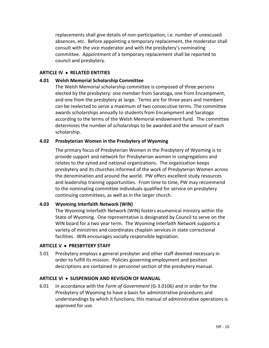replacements shall give details of non-participation, i.e. number of unexcused absences, etc. Before appointing a temporary replacement, the moderator shall consult with the vice moderator and with the presbytery's nominating committee. Appointment of a temporary replacement shall be reported to council and presbytery.

## <span id="page-14-0"></span>**ARTICLE IV RELATED ENTITIES**

## <span id="page-14-1"></span>**4.01 Welsh Memorial Scholarship Committee**

The Welsh Memorial scholarship committee is composed of three persons elected by the presbytery: one member from Saratoga, one from Encampment, and one from the presbytery at large. Terms are for three years and members can be reelected to serve a maximum of two consecutive terms. The committee awards scholarships annually to students from Encampment and Saratoga according to the terms of the Welsh Memorial endowment fund. The committee determines the number of scholarships to be awarded and the amount of each scholarship.

## <span id="page-14-2"></span>**4.02 Presbyterian Women in the Presbytery of Wyoming**

The primary focus of Presbyterian Women in the Presbytery of Wyoming is to provide support and network for Presbyterian women in congregations and relates to the synod and national organizations. The organization keeps presbytery and its churches informed of the work of Presbyterian Women across the denomination and around the world. PW offers excellent study resources and leadership training opportunities. From time to time, PW may recommend to the nominating committee individuals qualified for service on presbytery continuing committees, as well as in the larger church.

### <span id="page-14-3"></span>**4.03 Wyoming Interfaith Network (WIN)**

The Wyoming Interfaith Network (WIN) fosters ecumenical ministry within the State of Wyoming. One representative is designated by Council to serve on the WIN board for a two year term. The Wyoming Interfaith Network supports a variety of ministries and coordinates chaplain services in state correctional facilities. WIN encourages socially responsible legislation.

### <span id="page-14-4"></span>**ARTICLE V PRESBYTERY STAFF**

5.01 Presbytery employs a general presbyter and other staff deemed necessary in order to fulfill its mission. Policies governing employment and position descriptions are contained in personnel section of the presbytery manual.

### <span id="page-14-5"></span>**ARTICLE VI SUSPENSION AND REVISION OF MANUAL**

6.01 In accordance with the *Form of Government* (G-3.0106) and in order for the Presbytery of Wyoming to have a basis for administrative procedures and understandings by which it functions, this manual of administrative operations is approved for use.